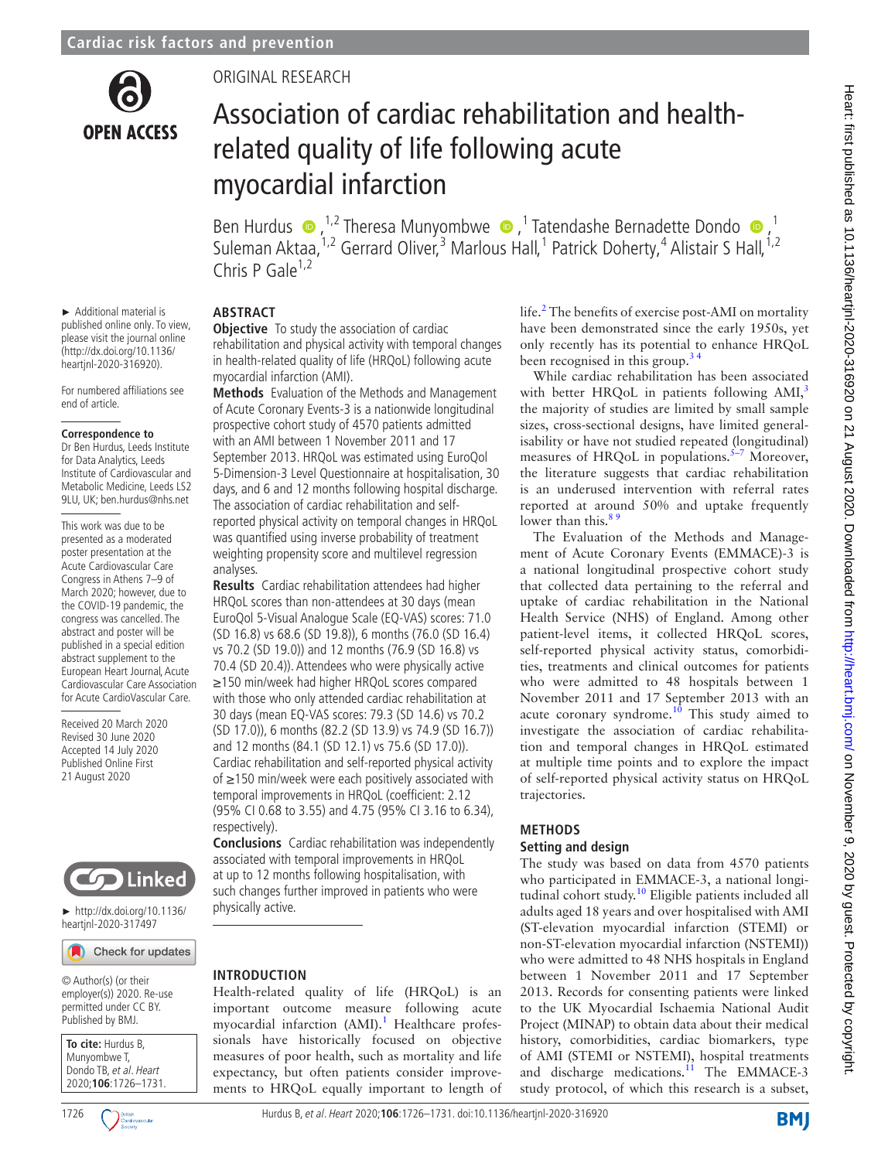

ORIGINAL RESEARCH

# Association of cardiac rehabilitation and healthrelated quality of life following acute myocardial infarction

BenHurdus  $\bigcirc$ , <sup>1,2</sup> Theresa Munyombwe  $\bigcirc$ , <sup>1</sup> Tatendashe Bernadette Dondo  $\bigcirc$ , <sup>1</sup> Suleman Aktaa,<sup>1,2</sup> Gerrard Oliver,<sup>3</sup> Marlous Hall,<sup>1</sup> Patrick Doherty,<sup>4</sup> Alistair S Hall,<sup>1,2</sup> Chris P Gale $1,2$ 

► Additional material is published online only. To view, please visit the journal online [\(http://dx.doi.org/10.1136/](http://dx.doi.org/10.1136/heartjnl-2020-316920) [heartjnl-2020-316920](http://dx.doi.org/10.1136/heartjnl-2020-316920)).

For numbered affiliations see end of article.

#### **Correspondence to**

Dr Ben Hurdus, Leeds Institute for Data Analytics, Leeds Institute of Cardiovascular and Metabolic Medicine, Leeds LS2 9LU, UK; ben.hurdus@nhs.net

This work was due to be presented as a moderated poster presentation at the Acute Cardiovascular Care Congress in Athens 7–9 of March 2020; however, due to the COVID-19 pandemic, the congress was cancelled. The abstract and poster will be published in a special edition abstract supplement to the European Heart Journal, Acute Cardiovascular Care Association for Acute CardioVascular Care.

Received 20 March 2020 Revised 30 June 2020 Accepted 14 July 2020 Published Online First 21 August 2020



► [http://dx.doi.org/10.1136/](http://​dx.​doi.​org/​10.​1136/heartjnl-2020-317497) [heartjnl-2020-317497](http://​dx.​doi.​org/​10.​1136/heartjnl-2020-317497)

Check for updates

© Author(s) (or their employer(s)) 2020. Re-use permitted under CC BY. Published by BMJ.

**To cite:** Hurdus B, Munyombwe T, Dondo TB, et al. Heart 2020;**106**:1726–1731.



# **ABSTRACT**

**Objective** To study the association of cardiac rehabilitation and physical activity with temporal changes in health-related quality of life (HRQoL) following acute myocardial infarction (AMI).

**Methods** Evaluation of the Methods and Management of Acute Coronary Events-3 is a nationwide longitudinal prospective cohort study of 4570 patients admitted with an AMI between 1 November 2011 and 17 September 2013. HRQoL was estimated using EuroQol 5-Dimension-3 Level Questionnaire at hospitalisation, 30 days, and 6 and 12 months following hospital discharge. The association of cardiac rehabilitation and selfreported physical activity on temporal changes in HRQoL was quantified using inverse probability of treatment weighting propensity score and multilevel regression analyses.

**Results** Cardiac rehabilitation attendees had higher HRQoL scores than non-attendees at 30 days (mean EuroQol 5-Visual Analogue Scale (EQ-VAS) scores: 71.0 (SD 16.8) vs 68.6 (SD 19.8)), 6 months (76.0 (SD 16.4) vs 70.2 (SD 19.0)) and 12 months (76.9 (SD 16.8) vs 70.4 (SD 20.4)). Attendees who were physically active ≥150 min/week had higher HRQoL scores compared with those who only attended cardiac rehabilitation at 30 days (mean EQ-VAS scores: 79.3 (SD 14.6) vs 70.2 (SD 17.0)), 6 months (82.2 (SD 13.9) vs 74.9 (SD 16.7)) and 12 months (84.1 (SD 12.1) vs 75.6 (SD 17.0)). Cardiac rehabilitation and self-reported physical activity of ≥150 min/week were each positively associated with temporal improvements in HRQoL (coefficient: 2.12 (95% CI 0.68 to 3.55) and 4.75 (95% CI 3.16 to 6.34), respectively).

**Conclusions** Cardiac rehabilitation was independently associated with temporal improvements in HRQoL at up to 12 months following hospitalisation, with such changes further improved in patients who were physically active.

## **INTRODUCTION**

Health-related quality of life (HRQoL) is an important outcome measure following acute myocardial infarction (AMI).<sup>[1](#page-5-0)</sup> Healthcare professionals have historically focused on objective measures of poor health, such as mortality and life expectancy, but often patients consider improvements to HRQoL equally important to length of life.<sup>2</sup> The benefits of exercise post-AMI on mortality have been demonstrated since the early 1950s, yet only recently has its potential to enhance HRQoL been recognised in this group.[3 4](#page-5-2)

While cardiac rehabilitation has been associated with better HRQoL in patients following  $AMI<sub>3</sub>$  $AMI<sub>3</sub>$  $AMI<sub>3</sub>$ <sup>3</sup> the majority of studies are limited by small sample sizes, cross-sectional designs, have limited generalisability or have not studied repeated (longitudinal) measures of HRQoL in populations.<sup>5-7</sup> Moreover, the literature suggests that cardiac rehabilitation is an underused intervention with referral rates reported at around 50% and uptake frequently lower than this.<sup>89</sup>

The Evaluation of the Methods and Management of Acute Coronary Events (EMMACE)-3 is a national longitudinal prospective cohort study that collected data pertaining to the referral and uptake of cardiac rehabilitation in the National Health Service (NHS) of England. Among other patient-level items, it collected HRQoL scores, self-reported physical activity status, comorbidities, treatments and clinical outcomes for patients who were admitted to 48 hospitals between 1 November 2011 and 17 September 2013 with an acute coronary syndrome. $10$  This study aimed to investigate the association of cardiac rehabilitation and temporal changes in HRQoL estimated at multiple time points and to explore the impact of self-reported physical activity status on HRQoL trajectories.

## **METHODS**

## **Setting and design**

The study was based on data from 4570 patients who participated in EMMACE-3, a national longi-tudinal cohort study.<sup>[10](#page-5-5)</sup> Eligible patients included all adults aged 18 years and over hospitalised with AMI (ST-elevation myocardial infarction (STEMI) or non-ST-elevation myocardial infarction (NSTEMI)) who were admitted to 48 NHS hospitals in England between 1 November 2011 and 17 September 2013. Records for consenting patients were linked to the UK Myocardial Ischaemia National Audit Project (MINAP) to obtain data about their medical history, comorbidities, cardiac biomarkers, type of AMI (STEMI or NSTEMI), hospital treatments and discharge medications.<sup>[11](#page-5-6)</sup> The EMMACE-3 study protocol, of which this research is a subset,

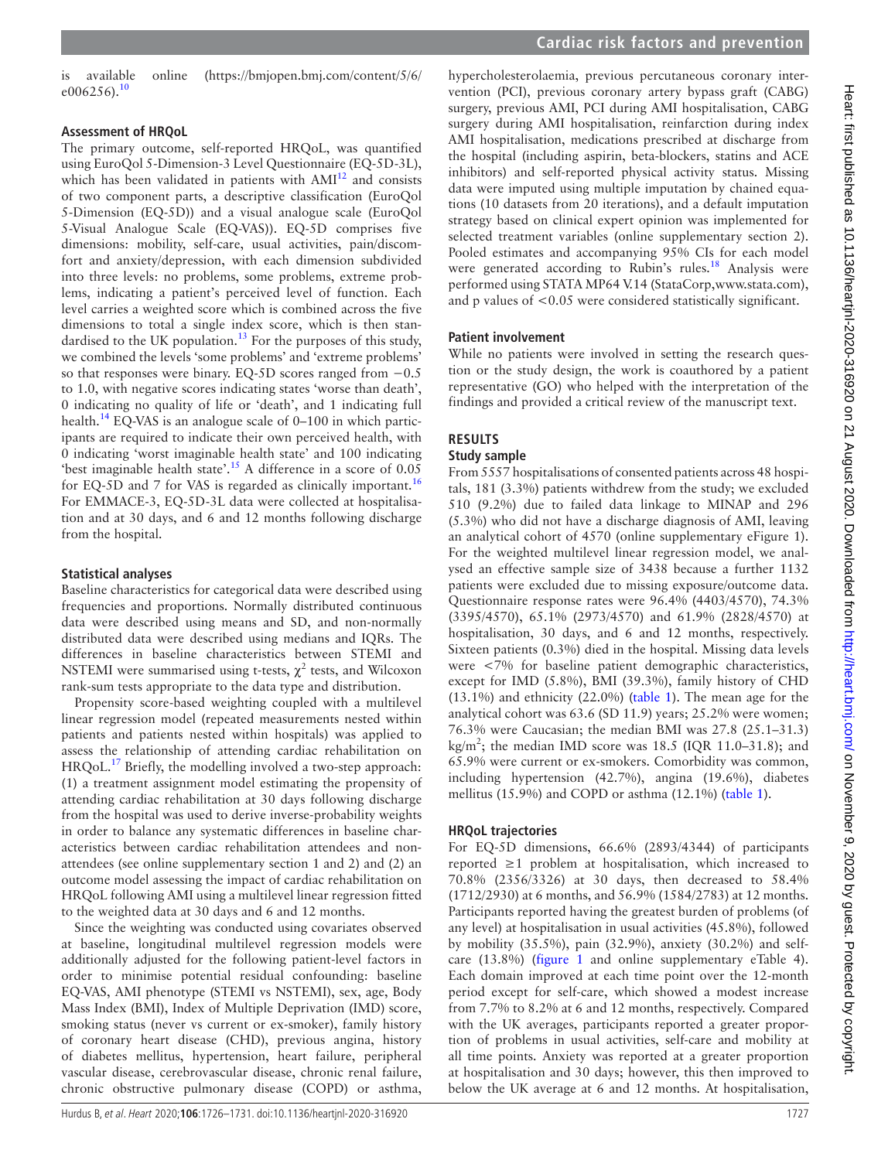is available online ([https://bmjopen.bmj.com/content/5/6/](https://bmjopen.bmj.com/content/5/6/e006256.)  $e006256$ ).<sup>[10](#page-5-5)</sup>

#### **Assessment of HRQoL**

The primary outcome, self-reported HRQoL, was quantified using EuroQol 5-Dimension-3 Level Questionnaire (EQ-5D-3L), which has been validated in patients with  $AMI<sup>12</sup>$  $AMI<sup>12</sup>$  $AMI<sup>12</sup>$  and consists of two component parts, a descriptive classification (EuroQol 5-Dimension (EQ-5D)) and a visual analogue scale (EuroQol 5-Visual Analogue Scale (EQ-VAS)). EQ-5D comprises five dimensions: mobility, self-care, usual activities, pain/discomfort and anxiety/depression, with each dimension subdivided into three levels: no problems, some problems, extreme problems, indicating a patient's perceived level of function. Each level carries a weighted score which is combined across the five dimensions to total a single index score, which is then standardised to the UK population. $13$  For the purposes of this study, we combined the levels 'some problems' and 'extreme problems' so that responses were binary. EQ-5D scores ranged from −0.5 to 1.0, with negative scores indicating states 'worse than death', 0 indicating no quality of life or 'death', and 1 indicating full health.<sup>14</sup> EQ-VAS is an analogue scale of  $0-100$  in which participants are required to indicate their own perceived health, with 0 indicating 'worst imaginable health state' and 100 indicating 'best imaginable health state'.<sup>[15](#page-5-10)</sup> A difference in a score of  $0.05$ for EQ-5D and 7 for VAS is regarded as clinically important.<sup>[16](#page-5-11)</sup> For EMMACE-3, EQ-5D-3L data were collected at hospitalisation and at 30 days, and 6 and 12 months following discharge from the hospital.

#### **Statistical analyses**

Baseline characteristics for categorical data were described using frequencies and proportions. Normally distributed continuous data were described using means and SD, and non-normally distributed data were described using medians and IQRs. The differences in baseline characteristics between STEMI and NSTEMI were summarised using t-tests,  $\chi^2$  tests, and Wilcoxon rank-sum tests appropriate to the data type and distribution.

Propensity score-based weighting coupled with a multilevel linear regression model (repeated measurements nested within patients and patients nested within hospitals) was applied to assess the relationship of attending cardiac rehabilitation on HRQoL.<sup>17</sup> Briefly, the modelling involved a two-step approach: (1) a treatment assignment model estimating the propensity of attending cardiac rehabilitation at 30 days following discharge from the hospital was used to derive inverse-probability weights in order to balance any systematic differences in baseline characteristics between cardiac rehabilitation attendees and nonattendees (see [online supplementary section 1 and 2](https://dx.doi.org/10.1136/heartjnl-2020-316920)) and (2) an outcome model assessing the impact of cardiac rehabilitation on HRQoL following AMI using a multilevel linear regression fitted to the weighted data at 30 days and 6 and 12 months.

Since the weighting was conducted using covariates observed at baseline, longitudinal multilevel regression models were additionally adjusted for the following patient-level factors in order to minimise potential residual confounding: baseline EQ-VAS, AMI phenotype (STEMI vs NSTEMI), sex, age, Body Mass Index (BMI), Index of Multiple Deprivation (IMD) score, smoking status (never vs current or ex-smoker), family history of coronary heart disease (CHD), previous angina, history of diabetes mellitus, hypertension, heart failure, peripheral vascular disease, cerebrovascular disease, chronic renal failure, chronic obstructive pulmonary disease (COPD) or asthma,

hypercholesterolaemia, previous percutaneous coronary intervention (PCI), previous coronary artery bypass graft (CABG) surgery, previous AMI, PCI during AMI hospitalisation, CABG surgery during AMI hospitalisation, reinfarction during index AMI hospitalisation, medications prescribed at discharge from the hospital (including aspirin, beta-blockers, statins and ACE inhibitors) and self-reported physical activity status. Missing data were imputed using multiple imputation by chained equations (10 datasets from 20 iterations), and a default imputation strategy based on clinical expert opinion was implemented for selected treatment variables ([online supplementary section 2\)](https://dx.doi.org/10.1136/heartjnl-2020-316920). Pooled estimates and accompanying 95% CIs for each model were generated according to Rubin's rules.<sup>[18](#page-5-13)</sup> Analysis were performed using STATA MP64 V.14 (StataCorp[,www.stata.com\)](www.stata.com), and p values of <0.05 were considered statistically significant.

#### **Patient involvement**

While no patients were involved in setting the research question or the study design, the work is coauthored by a patient representative (GO) who helped with the interpretation of the findings and provided a critical review of the manuscript text.

## **RESULTS**

#### **Study sample**

From 5557 hospitalisations of consented patients across 48 hospitals, 181 (3.3%) patients withdrew from the study; we excluded 510 (9.2%) due to failed data linkage to MINAP and 296 (5.3%) who did not have a discharge diagnosis of AMI, leaving an analytical cohort of 4570 [\(online supplementary eFigure 1\)](https://dx.doi.org/10.1136/heartjnl-2020-316920). For the weighted multilevel linear regression model, we analysed an effective sample size of 3438 because a further 1132 patients were excluded due to missing exposure/outcome data. Questionnaire response rates were 96.4% (4403/4570), 74.3% (3395/4570), 65.1% (2973/4570) and 61.9% (2828/4570) at hospitalisation, 30 days, and 6 and 12 months, respectively. Sixteen patients (0.3%) died in the hospital. Missing data levels were <7% for baseline patient demographic characteristics, except for IMD (5.8%), BMI (39.3%), family history of CHD (13.1%) and ethnicity (22.0%) [\(table](#page-2-0) 1). The mean age for the analytical cohort was 63.6 (SD 11.9) years; 25.2% were women; 76.3% were Caucasian; the median BMI was 27.8 (25.1–31.3) kg/m<sup>2</sup>; the median IMD score was 18.5 (IQR 11.0–31.8); and 65.9% were current or ex-smokers. Comorbidity was common, including hypertension (42.7%), angina (19.6%), diabetes mellitus (15.9%) and COPD or asthma (12.1%) [\(table](#page-2-0) 1).

#### **HRQoL trajectories**

For EQ-5D dimensions, 66.6% (2893/4344) of participants reported ≥1 problem at hospitalisation, which increased to 70.8% (2356/3326) at 30 days, then decreased to 58.4% (1712/2930) at 6 months, and 56.9% (1584/2783) at 12 months. Participants reported having the greatest burden of problems (of any level) at hospitalisation in usual activities (45.8%), followed by mobility (35.5%), pain (32.9%), anxiety (30.2%) and selfcare (13.8%) ([figure](#page-3-0) 1 and [online supplementary eTable 4\)](https://dx.doi.org/10.1136/heartjnl-2020-316920). Each domain improved at each time point over the 12-month period except for self-care, which showed a modest increase from 7.7% to 8.2% at 6 and 12 months, respectively. Compared with the UK averages, participants reported a greater proportion of problems in usual activities, self-care and mobility at all time points. Anxiety was reported at a greater proportion at hospitalisation and 30 days; however, this then improved to below the UK average at 6 and 12 months. At hospitalisation,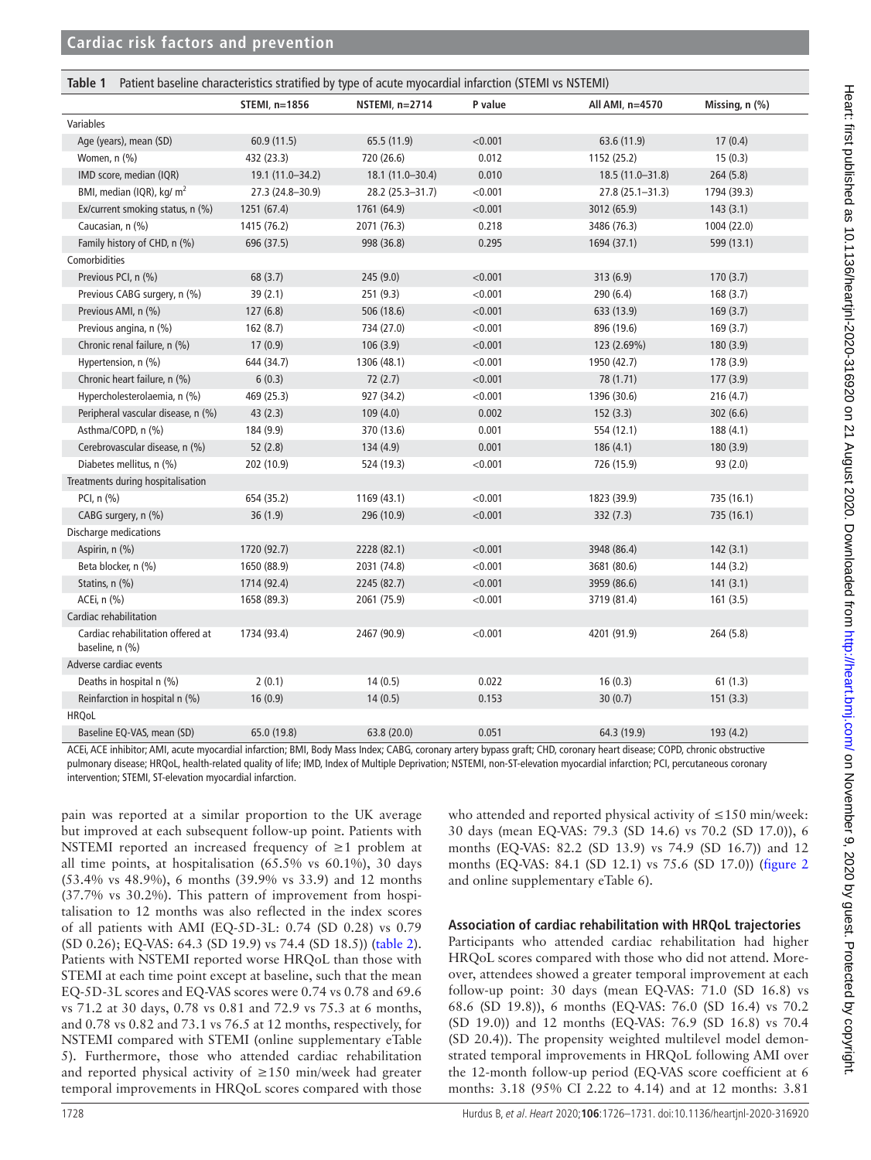<span id="page-2-0"></span>

| Patient baseline characteristics stratified by type of acute myocardial infarction (STEMI vs NSTEMI)<br>Table 1 |                  |                  |         |                     |                |  |  |  |
|-----------------------------------------------------------------------------------------------------------------|------------------|------------------|---------|---------------------|----------------|--|--|--|
|                                                                                                                 | STEMI, n=1856    | NSTEMI, n=2714   | P value | All AMI, n=4570     | Missing, n (%) |  |  |  |
| Variables                                                                                                       |                  |                  |         |                     |                |  |  |  |
| Age (years), mean (SD)                                                                                          | 60.9(11.5)       | 65.5 (11.9)      | < 0.001 | 63.6 (11.9)         | 17(0.4)        |  |  |  |
| Women, n (%)                                                                                                    | 432 (23.3)       | 720 (26.6)       | 0.012   | 1152 (25.2)         | 15(0.3)        |  |  |  |
| IMD score, median (IQR)                                                                                         | 19.1 (11.0-34.2) | 18.1 (11.0-30.4) | 0.010   | 18.5 (11.0-31.8)    | 264(5.8)       |  |  |  |
| BMI, median (IQR), kg/ m <sup>2</sup>                                                                           | 27.3 (24.8-30.9) | 28.2 (25.3-31.7) | < 0.001 | $27.8(25.1 - 31.3)$ | 1794 (39.3)    |  |  |  |
| Ex/current smoking status, n (%)                                                                                | 1251 (67.4)      | 1761 (64.9)      | < 0.001 | 3012 (65.9)         | 143(3.1)       |  |  |  |
| Caucasian, n (%)                                                                                                | 1415 (76.2)      | 2071 (76.3)      | 0.218   | 3486 (76.3)         | 1004 (22.0)    |  |  |  |
| Family history of CHD, n (%)                                                                                    | 696 (37.5)       | 998 (36.8)       | 0.295   | 1694 (37.1)         | 599 (13.1)     |  |  |  |
| Comorbidities                                                                                                   |                  |                  |         |                     |                |  |  |  |
| Previous PCI, n (%)                                                                                             | 68(3.7)          | 245 (9.0)        | < 0.001 | 313(6.9)            | 170(3.7)       |  |  |  |
| Previous CABG surgery, n (%)                                                                                    | 39(2.1)          | 251 (9.3)        | < 0.001 | 290 (6.4)           | 168(3.7)       |  |  |  |
| Previous AMI, n (%)                                                                                             | 127(6.8)         | 506 (18.6)       | < 0.001 | 633 (13.9)          | 169(3.7)       |  |  |  |
| Previous angina, n (%)                                                                                          | 162(8.7)         | 734 (27.0)       | < 0.001 | 896 (19.6)          | 169 (3.7)      |  |  |  |
| Chronic renal failure, n (%)                                                                                    | 17(0.9)          | 106(3.9)         | < 0.001 | 123 (2.69%)         | 180 (3.9)      |  |  |  |
| Hypertension, n (%)                                                                                             | 644 (34.7)       | 1306 (48.1)      | < 0.001 | 1950 (42.7)         | 178 (3.9)      |  |  |  |
| Chronic heart failure, n (%)                                                                                    | 6(0.3)           | 72(2.7)          | < 0.001 | 78 (1.71)           | 177(3.9)       |  |  |  |
| Hypercholesterolaemia, n (%)                                                                                    | 469 (25.3)       | 927 (34.2)       | < 0.001 | 1396 (30.6)         | 216(4.7)       |  |  |  |
| Peripheral vascular disease, n (%)                                                                              | 43(2.3)          | 109(4.0)         | 0.002   | 152(3.3)            | 302(6.6)       |  |  |  |
| Asthma/COPD, n (%)                                                                                              | 184 (9.9)        | 370 (13.6)       | 0.001   | 554 (12.1)          | 188 (4.1)      |  |  |  |
| Cerebrovascular disease, n (%)                                                                                  | 52(2.8)          | 134 (4.9)        | 0.001   | 186(4.1)            | 180 (3.9)      |  |  |  |
| Diabetes mellitus, n (%)                                                                                        | 202 (10.9)       | 524 (19.3)       | < 0.001 | 726 (15.9)          | 93(2.0)        |  |  |  |
| Treatments during hospitalisation                                                                               |                  |                  |         |                     |                |  |  |  |
| PCI, n (%)                                                                                                      | 654 (35.2)       | 1169 (43.1)      | < 0.001 | 1823 (39.9)         | 735 (16.1)     |  |  |  |
| CABG surgery, n (%)                                                                                             | 36(1.9)          | 296 (10.9)       | < 0.001 | 332(7.3)            | 735 (16.1)     |  |  |  |
| Discharge medications                                                                                           |                  |                  |         |                     |                |  |  |  |
| Aspirin, n (%)                                                                                                  | 1720 (92.7)      | 2228 (82.1)      | < 0.001 | 3948 (86.4)         | 142(3.1)       |  |  |  |
| Beta blocker, n (%)                                                                                             | 1650 (88.9)      | 2031 (74.8)      | < 0.001 | 3681 (80.6)         | 144(3.2)       |  |  |  |
| Statins, $n$ $(\%)$                                                                                             | 1714 (92.4)      | 2245 (82.7)      | < 0.001 | 3959 (86.6)         | 141(3.1)       |  |  |  |
| ACEi, n (%)                                                                                                     | 1658 (89.3)      | 2061 (75.9)      | < 0.001 | 3719 (81.4)         | 161(3.5)       |  |  |  |
| Cardiac rehabilitation                                                                                          |                  |                  |         |                     |                |  |  |  |
| Cardiac rehabilitation offered at<br>baseline, n (%)                                                            | 1734 (93.4)      | 2467 (90.9)      | < 0.001 | 4201 (91.9)         | 264(5.8)       |  |  |  |
| Adverse cardiac events                                                                                          |                  |                  |         |                     |                |  |  |  |
| Deaths in hospital n (%)                                                                                        | 2(0.1)           | 14(0.5)          | 0.022   | 16(0.3)             | 61(1.3)        |  |  |  |
| Reinfarction in hospital n (%)                                                                                  | 16(0.9)          | 14(0.5)          | 0.153   | 30(0.7)             | 151(3.3)       |  |  |  |
| <b>HRQoL</b>                                                                                                    |                  |                  |         |                     |                |  |  |  |
| Baseline EQ-VAS, mean (SD)                                                                                      | 65.0 (19.8)      | 63.8 (20.0)      | 0.051   | 64.3 (19.9)         | 193 (4.2)      |  |  |  |

ACEi, ACE inhibitor; AMI, acute myocardial infarction; BMI, Body Mass Index; CABG, coronary artery bypass graft; CHD, coronary heart disease; COPD, chronic obstructive pulmonary disease; HRQoL, health-related quality of life; IMD, Index of Multiple Deprivation; NSTEMI, non-ST-elevation myocardial infarction; PCI, percutaneous coronary intervention; STEMI, ST-elevation myocardial infarction.

pain was reported at a similar proportion to the UK average but improved at each subsequent follow-up point. Patients with NSTEMI reported an increased frequency of ≥1 problem at all time points, at hospitalisation (65.5% vs 60.1%), 30 days (53.4% vs 48.9%), 6 months (39.9% vs 33.9) and 12 months (37.7% vs 30.2%). This pattern of improvement from hospitalisation to 12 months was also reflected in the index scores of all patients with AMI (EQ-5D-3L: 0.74 (SD 0.28) vs 0.79 (SD 0.26); EQ-VAS: 64.3 (SD 19.9) vs 74.4 (SD 18.5)) [\(table](#page-3-1) 2). Patients with NSTEMI reported worse HRQoL than those with STEMI at each time point except at baseline, such that the mean EQ-5D-3L scores and EQ-VAS scores were 0.74 vs 0.78 and 69.6 vs 71.2 at 30 days, 0.78 vs 0.81 and 72.9 vs 75.3 at 6 months, and 0.78 vs 0.82 and 73.1 vs 76.5 at 12 months, respectively, for NSTEMI compared with STEMI ([online supplementary eTable](https://dx.doi.org/10.1136/heartjnl-2020-316920)  [5\)](https://dx.doi.org/10.1136/heartjnl-2020-316920). Furthermore, those who attended cardiac rehabilitation and reported physical activity of ≥150 min/week had greater temporal improvements in HRQoL scores compared with those

who attended and reported physical activity of ≤150 min/week: 30 days (mean EQ-VAS: 79.3 (SD 14.6) vs 70.2 (SD 17.0)), 6 months (EQ-VAS: 82.2 (SD 13.9) vs 74.9 (SD 16.7)) and 12 months (EQ-VAS: 84.1 (SD 12.1) vs 75.6 (SD 17.0)) [\(figure](#page-3-2) 2 and [online supplementary eTable 6](https://dx.doi.org/10.1136/heartjnl-2020-316920)).

## **Association of cardiac rehabilitation with HRQoL trajectories**

Participants who attended cardiac rehabilitation had higher HRQoL scores compared with those who did not attend. Moreover, attendees showed a greater temporal improvement at each follow-up point: 30 days (mean EQ-VAS: 71.0 (SD 16.8) vs 68.6 (SD 19.8)), 6 months (EQ-VAS: 76.0 (SD 16.4) vs 70.2 (SD 19.0)) and 12 months (EQ-VAS: 76.9 (SD 16.8) vs 70.4 (SD 20.4)). The propensity weighted multilevel model demonstrated temporal improvements in HRQoL following AMI over the 12-month follow-up period (EQ-VAS score coefficient at 6 months: 3.18 (95% CI 2.22 to 4.14) and at 12 months: 3.81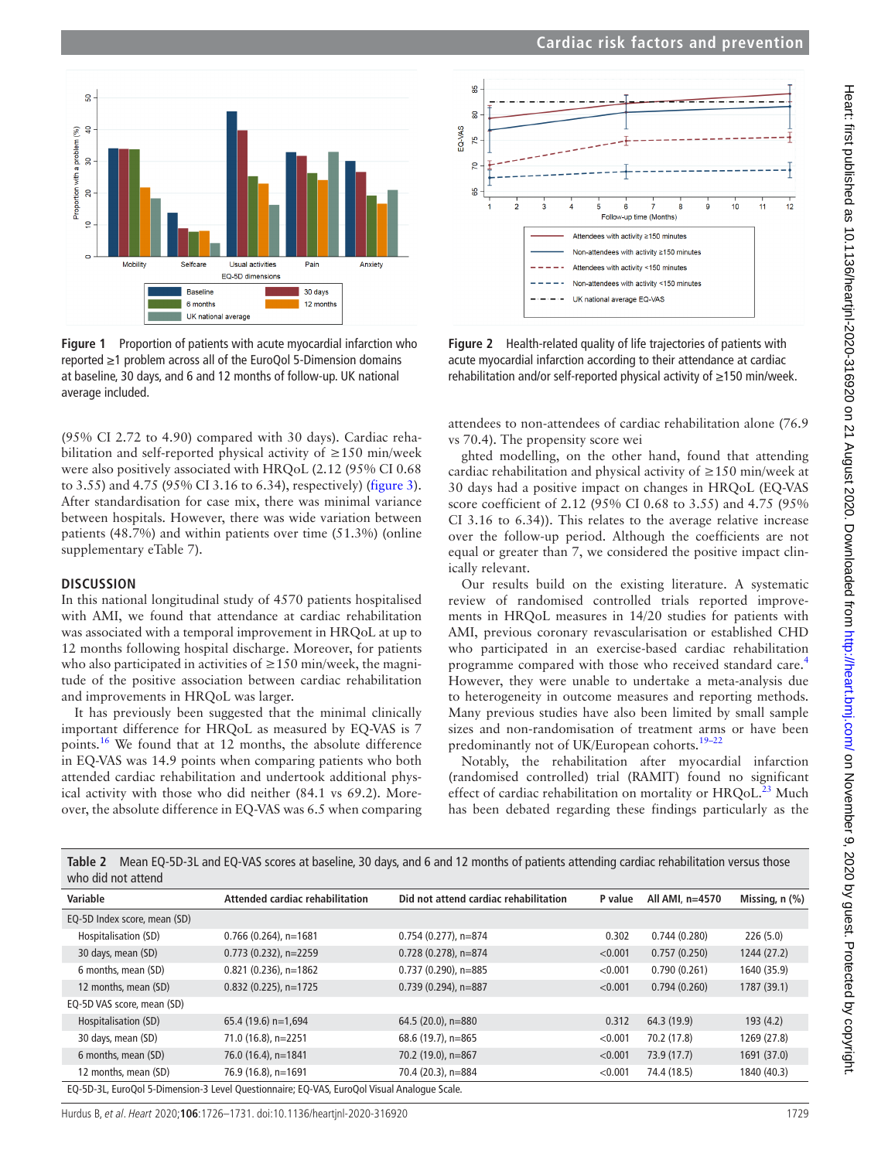

<span id="page-3-0"></span>**Figure 1** Proportion of patients with acute myocardial infarction who reported ≥1 problem across all of the EuroQol 5-Dimension domains at baseline, 30 days, and 6 and 12 months of follow-up. UK national average included.

(95% CI 2.72 to 4.90) compared with 30 days). Cardiac rehabilitation and self-reported physical activity of ≥150 min/week were also positively associated with HRQoL (2.12 (95% CI 0.68 to 3.55) and 4.75 (95% CI 3.16 to 6.34), respectively) [\(figure](#page-4-0) 3). After standardisation for case mix, there was minimal variance between hospitals. However, there was wide variation between patients (48.7%) and within patients over time (51.3%) [\(online](https://dx.doi.org/10.1136/heartjnl-2020-316920)  [supplementary eTable 7](https://dx.doi.org/10.1136/heartjnl-2020-316920)).

#### **DISCUSSION**

In this national longitudinal study of 4570 patients hospitalised with AMI, we found that attendance at cardiac rehabilitation was associated with a temporal improvement in HRQoL at up to 12 months following hospital discharge. Moreover, for patients who also participated in activities of  $\geq 150$  min/week, the magnitude of the positive association between cardiac rehabilitation and improvements in HRQoL was larger.

It has previously been suggested that the minimal clinically important difference for HRQoL as measured by EQ-VAS is 7 points.[16](#page-5-11) We found that at 12 months, the absolute difference in EQ-VAS was 14.9 points when comparing patients who both attended cardiac rehabilitation and undertook additional physical activity with those who did neither (84.1 vs 69.2). Moreover, the absolute difference in EQ-VAS was 6.5 when comparing



<span id="page-3-2"></span>**Figure 2** Health-related quality of life trajectories of patients with acute myocardial infarction according to their attendance at cardiac rehabilitation and/or self-reported physical activity of ≥150 min/week.

attendees to non-attendees of cardiac rehabilitation alone (76.9 vs 70.4). The propensity score wei

ghted modelling, on the other hand, found that attending cardiac rehabilitation and physical activity of ≥150 min/week at 30 days had a positive impact on changes in HRQoL (EQ-VAS score coefficient of 2.12 (95% CI 0.68 to 3.55) and 4.75 (95% CI 3.16 to 6.34)). This relates to the average relative increase over the follow-up period. Although the coefficients are not equal or greater than 7, we considered the positive impact clinically relevant.

Our results build on the existing literature. A systematic review of randomised controlled trials reported improvements in HRQoL measures in 14/20 studies for patients with AMI, previous coronary revascularisation or established CHD who participated in an exercise-based cardiac rehabilitation programme compared with those who received standard care.[4](#page-5-14) However, they were unable to undertake a meta-analysis due to heterogeneity in outcome measures and reporting methods. Many previous studies have also been limited by small sample sizes and non-randomisation of treatment arms or have been predominantly not of UK/European cohorts.<sup>19-22</sup>

Notably, the rehabilitation after myocardial infarction (randomised controlled) trial (RAMIT) found no significant effect of cardiac rehabilitation on mortality or  $HRQoL<sup>23</sup>$  Much has been debated regarding these findings particularly as the

<span id="page-3-1"></span>

| Table 2 | Mean EQ-5D-3L and EQ-VAS scores at baseline, 30 days, and 6 and 12 months of patients attending cardiac rehabilitation versus those |
|---------|-------------------------------------------------------------------------------------------------------------------------------------|
|         | who did not attend                                                                                                                  |

| Variable                                                                                    | Attended cardiac rehabilitation | Did not attend cardiac rehabilitation | P value | All AMI, n=4570 | Missing, $n$ $(\%)$ |  |  |
|---------------------------------------------------------------------------------------------|---------------------------------|---------------------------------------|---------|-----------------|---------------------|--|--|
| EQ-5D Index score, mean (SD)                                                                |                                 |                                       |         |                 |                     |  |  |
| Hospitalisation (SD)                                                                        | $0.766$ (0.264), n=1681         | $0.754(0.277)$ , n=874                | 0.302   | 0.744(0.280)    | 226(5.0)            |  |  |
| 30 days, mean (SD)                                                                          | $0.773$ (0.232), n=2259         | $0.728(0.278)$ , n=874                | < 0.001 | 0.757(0.250)    | 1244 (27.2)         |  |  |
| 6 months, mean (SD)                                                                         | $0.821$ (0.236), n=1862         | $0.737(0.290)$ , n=885                | < 0.001 | 0.790(0.261)    | 1640 (35.9)         |  |  |
| 12 months, mean (SD)                                                                        | $0.832$ (0.225), n=1725         | $0.739(0.294)$ , n=887                | < 0.001 | 0.794(0.260)    | 1787 (39.1)         |  |  |
| EQ-5D VAS score, mean (SD)                                                                  |                                 |                                       |         |                 |                     |  |  |
| Hospitalisation (SD)                                                                        | 65.4 (19.6) $n=1,694$           | 64.5 (20.0), n=880                    | 0.312   | 64.3 (19.9)     | 193(4.2)            |  |  |
| 30 days, mean (SD)                                                                          | 71.0 (16.8), n=2251             | 68.6 (19.7), n=865                    | < 0.001 | 70.2 (17.8)     | 1269 (27.8)         |  |  |
| 6 months, mean (SD)                                                                         | 76.0 (16.4), n=1841             | 70.2 (19.0), n=867                    | < 0.001 | 73.9 (17.7)     | 1691 (37.0)         |  |  |
| 12 months, mean (SD)                                                                        | 76.9 (16.8), n=1691             | 70.4 (20.3), n=884                    | < 0.001 | 74.4 (18.5)     | 1840 (40.3)         |  |  |
| EQ-5D-3L, EuroQol 5-Dimension-3 Level Questionnaire; EQ-VAS, EuroQol Visual Analoque Scale. |                                 |                                       |         |                 |                     |  |  |

Heart: first published as 10.1136/heartjnl-2020-316920 on 21 August 2020. Downloaded from http://heart.bmj.com/ on November 9, 2020 by guest. Protected by copyright Heart: first published as 10.1136/heartjnl-2020-316920 on 21 August 2020. Downloaded from <http://heart.bmj.com/> on November 9, 2020 by guest. Protected by copyright.

Hurdus B, et al. Heart 2020;**106**:1726–1731. doi:10.1136/heartjnl-2020-316920 1729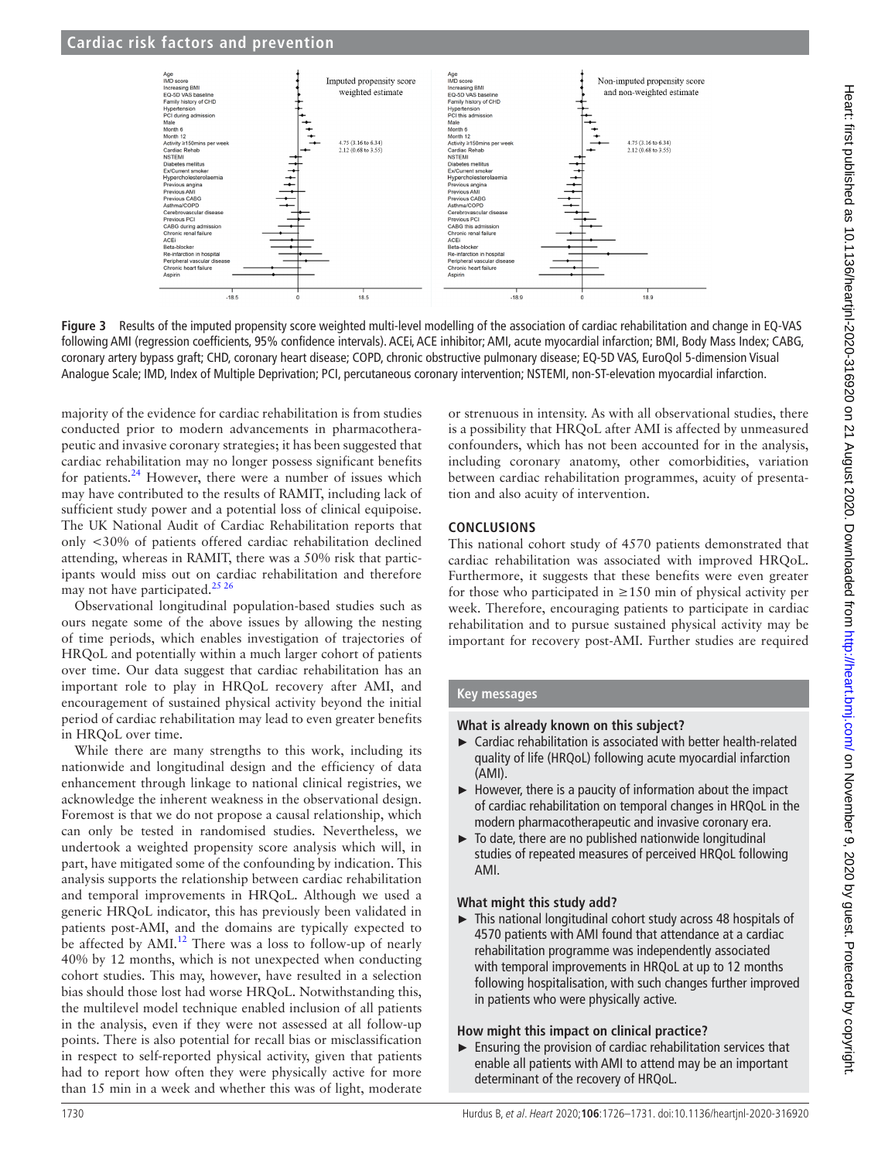

<span id="page-4-0"></span>**Figure 3** Results of the imputed propensity score weighted multi-level modelling of the association of cardiac rehabilitation and change in EQ-VAS following AMI (regression coefficients, 95% confidence intervals). ACEi, ACE inhibitor; AMI, acute myocardial infarction; BMI, Body Mass Index; CABG, coronary artery bypass graft; CHD, coronary heart disease; COPD, chronic obstructive pulmonary disease; EQ-5D VAS, EuroQol 5-dimension Visual Analogue Scale; IMD, Index of Multiple Deprivation; PCI, percutaneous coronary intervention; NSTEMI, non-ST-elevation myocardial infarction.

majority of the evidence for cardiac rehabilitation is from studies conducted prior to modern advancements in pharmacotherapeutic and invasive coronary strategies; it has been suggested that cardiac rehabilitation may no longer possess significant benefits for patients.[24](#page-5-17) However, there were a number of issues which may have contributed to the results of RAMIT, including lack of sufficient study power and a potential loss of clinical equipoise. The UK National Audit of Cardiac Rehabilitation reports that only <30% of patients offered cardiac rehabilitation declined attending, whereas in RAMIT, there was a 50% risk that participants would miss out on cardiac rehabilitation and therefore may not have participated.<sup>25</sup> 26

Observational longitudinal population-based studies such as ours negate some of the above issues by allowing the nesting of time periods, which enables investigation of trajectories of HRQoL and potentially within a much larger cohort of patients over time. Our data suggest that cardiac rehabilitation has an important role to play in HRQoL recovery after AMI, and encouragement of sustained physical activity beyond the initial period of cardiac rehabilitation may lead to even greater benefits in HRQoL over time.

While there are many strengths to this work, including its nationwide and longitudinal design and the efficiency of data enhancement through linkage to national clinical registries, we acknowledge the inherent weakness in the observational design. Foremost is that we do not propose a causal relationship, which can only be tested in randomised studies. Nevertheless, we undertook a weighted propensity score analysis which will, in part, have mitigated some of the confounding by indication. This analysis supports the relationship between cardiac rehabilitation and temporal improvements in HRQoL. Although we used a generic HRQoL indicator, this has previously been validated in patients post-AMI, and the domains are typically expected to be affected by AMI.<sup>12</sup> There was a loss to follow-up of nearly 40% by 12 months, which is not unexpected when conducting cohort studies. This may, however, have resulted in a selection bias should those lost had worse HRQoL. Notwithstanding this, the multilevel model technique enabled inclusion of all patients in the analysis, even if they were not assessed at all follow-up points. There is also potential for recall bias or misclassification in respect to self-reported physical activity, given that patients had to report how often they were physically active for more than 15 min in a week and whether this was of light, moderate

or strenuous in intensity. As with all observational studies, there is a possibility that HRQoL after AMI is affected by unmeasured confounders, which has not been accounted for in the analysis, including coronary anatomy, other comorbidities, variation between cardiac rehabilitation programmes, acuity of presentation and also acuity of intervention.

## **CONCLUSIONS**

This national cohort study of 4570 patients demonstrated that cardiac rehabilitation was associated with improved HRQoL. Furthermore, it suggests that these benefits were even greater for those who participated in  $\geq 150$  min of physical activity per week. Therefore, encouraging patients to participate in cardiac rehabilitation and to pursue sustained physical activity may be important for recovery post-AMI. Further studies are required

## **Key messages**

## **What is already known on this subject?**

- ► Cardiac rehabilitation is associated with better health-related quality of life (HRQoL) following acute myocardial infarction (AMI).
- ► However, there is a paucity of information about the impact of cardiac rehabilitation on temporal changes in HRQoL in the modern pharmacotherapeutic and invasive coronary era.
- To date, there are no published nationwide longitudinal studies of repeated measures of perceived HRQoL following AMI.

# **What might this study add?**

► This national longitudinal cohort study across 48 hospitals of 4570 patients with AMI found that attendance at a cardiac rehabilitation programme was independently associated with temporal improvements in HRQoL at up to 12 months following hospitalisation, with such changes further improved in patients who were physically active.

# **How might this impact on clinical practice?**

► Ensuring the provision of cardiac rehabilitation services that enable all patients with AMI to attend may be an important determinant of the recovery of HRQoL.